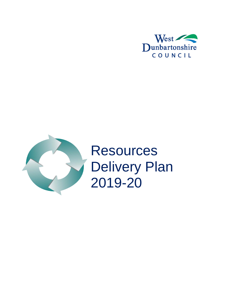



**Resources** Delivery Plan 2019-20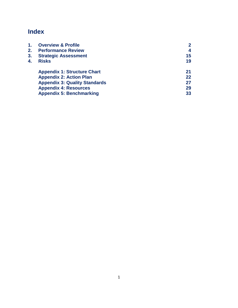# **Index**

<span id="page-1-0"></span>

| 1. | <b>Overview &amp; Profile</b>        | $\mathbf{2}$ |
|----|--------------------------------------|--------------|
| 2. | <b>Performance Review</b>            | 4            |
| 3. | <b>Strategic Assessment</b>          | 15           |
| 4. | <b>Risks</b>                         | 19           |
|    | <b>Appendix 1: Structure Chart</b>   | 21           |
|    | <b>Appendix 2: Action Plan</b>       | 22           |
|    | <b>Appendix 3: Quality Standards</b> | 27           |
|    | <b>Appendix 4: Resources</b>         | 29           |
|    | <b>Appendix 5: Benchmarking</b>      | 33           |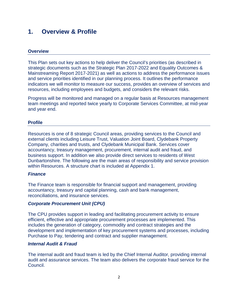## **1. Overview & Profile**

## **Overview**

This Plan sets out key actions to help deliver the Council's priorities (as described in strategic documents such as the Strategic Plan 2017-2022 and Equality Outcomes & Mainstreaming Report 2017-2021) as well as actions to address the performance issues and service priorities identified in our planning process. It outlines the performance indicators we will monitor to measure our success, provides an overview of services and resources, including employees and budgets, and considers the relevant risks.

Progress will be monitored and managed on a regular basis at Resources management team meetings and reported twice yearly to Corporate Services Committee, at mid-year and year end.

#### **Profile**

Resources is one of 8 strategic Council areas, providing services to the Council and external clients including Leisure Trust, Valuation Joint Board, Clydebank Property Company, charities and trusts, and Clydebank Municipal Bank. Services cover accountancy, treasury management, procurement, internal audit and fraud, and business support. In addition we also provide direct services to residents of West Dunbartonshire. The following are the main areas of responsibility and service provision within Resources. A structure chart is included at Appendix 1.

#### *Finance*

The Finance team is responsible for financial support and management, providing accountancy, treasury and capital planning, cash and bank management, reconciliations, and insurance services.

## *Corporate Procurement Unit (CPU)*

The CPU provides support in leading and facilitating procurement activity to ensure efficient, effective and appropriate procurement processes are implemented. This includes the generation of category, commodity and contract strategies and the development and implementation of key procurement systems and processes, including Purchase to Pay, tendering and contract and supplier management.

## *Internal Audit & Fraud*

The internal audit and fraud team is led by the Chief Internal Auditor, providing internal audit and assurance services. The team also delivers the corporate fraud service for the Council.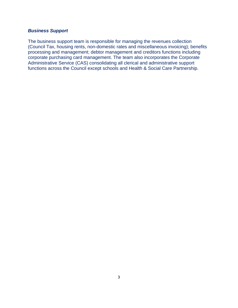## *Business Support*

<span id="page-3-0"></span>The business support team is responsible for managing the revenues collection (Council Tax, housing rents, non-domestic rates and miscellaneous invoicing); benefits processing and management; debtor management and creditors functions including corporate purchasing card management. The team also incorporates the Corporate Administrative Service (CAS) consolidating all clerical and administrative support functions across the Council except schools and Health & Social Care Partnership.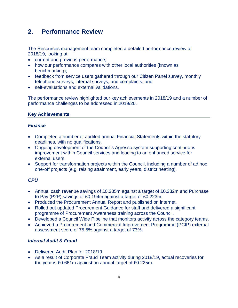## **2. Performance Review**

The Resources management team completed a detailed performance review of 2018/19, looking at:

- current and previous performance;
- how our performance compares with other local authorities (known as benchmarking);
- feedback from service users gathered through our Citizen Panel survey, monthly telephone surveys, internal surveys, and complaints; and
- self-evaluations and external validations.

The performance review highlighted our key achievements in 2018/19 and a number of performance challenges to be addressed in 2019/20.

## **Key Achievements**

## *Finance*

- Completed a number of audited annual Financial Statements within the statutory deadlines, with no qualifications.
- Ongoing development of the Council's Agresso system supporting continuous improvement within Council services and leading to an enhanced service for external users.
- Support for transformation projects within the Council, including a number of ad hoc one-off projects (e.g. raising attainment, early years, district heating).

## *CPU*

- Annual cash revenue savings of £0.335m against a target of £0.332m and Purchase to Pay (P2P) savings of £0.194m against a target of £0.223m.
- Produced the Procurement Annual Report and published on internet.
- Rolled out updated Procurement Guidance for staff and delivered a significant programme of Procurement Awareness training across the Council.
- Developed a Council Wide Pipeline that monitors activity across the category teams.
- Achieved a Procurement and Commercial Improvement Programme (PCIP) external assessment score of 75.5% against a target of 73%.

## *Internal Audit & Fraud*

- Delivered Audit Plan for 2018/19.
- As a result of Corporate Fraud Team activity during 2018/19, actual recoveries for the year is £0.661m against an annual target of £0.225m.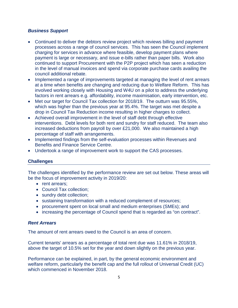## *Business Support*

- Continued to deliver the debtors review project which reviews billing and payment processes across a range of council services. This has seen the Council implement charging for services in advance where feasible, develop payment plans where payment is large or necessary, and issue e-bills rather than paper bills. Work also continued to support Procurement with the P2P project which has seen a reduction in the level of manual invoices and spend via corporate purchase cards availing the council additional rebate.
- Implemented a range of improvements targeted at managing the level of rent arrears at a time when benefits are changing and reducing due to Welfare Reform. This has involved working closely with Housing and W4U on a pilot to address the underlying factors in rent arrears e.g. affordability, income maximisation, early intervention, etc.
- Met our target for Council Tax collection for 2018/19. The outturn was 95.55%, which was higher than the previous year at 95.4%. The target was met despite a drop in Council Tax Reduction income resulting in higher charges to collect.
- Achieved overall improvement in the level of staff debt through effective interventions. Debt levels for both rent and sundry for staff reduced. The team also increased deductions from payroll by over £21,000. We also maintained a high percentage of staff with arrangements.
- Implemented findings from the self-evaluation processes within Revenues and Benefits and Finance Service Centre.
- Undertook a range of improvement work to support the CAS processes.

## **Challenges**

The challenges identified by the performance review are set out below. These areas will be the focus of improvement activity in 2019/20:

- rent arrears;
- Council Tax collection:
- sundry debt collection:
- sustaining transformation with a reduced complement of resources;
- procurement spent on local small and medium enterprises (SMEs); and
- increasing the percentage of Council spend that is regarded as "on contract".

## *Rent Arrears*

The amount of rent arrears owed to the Council is an area of concern.

Current tenants' arrears as a percentage of total rent due was 11.61% in 2018/19, above the target of 10.5% set for the year and down slightly on the previous year.

Performance can be explained, in part, by the general economic environment and welfare reform, particularly the benefit cap and the full rollout of Universal Credit (UC) which commenced in November 2018.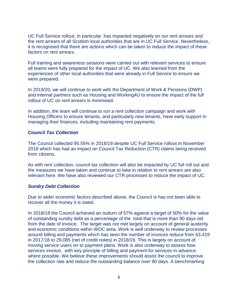UC Full Service rollout, in particular, has impacted negatively on our rent arrears and the rent arrears of all Scottish local authorities that are in UC Full Service. Nevertheless, it is recognised that there are actions which can be taken to reduce the impact of these factors on rent arrears.

Full training and awareness sessions were carried out with relevant services to ensure all teams were fully prepared for the impact of UC. We also learned from the experiences of other local authorities that were already in Full Service to ensure we were prepared.

In 2019/20, we will continue to work with the Department of Work & Pensions (DWP) and internal partners such as Housing and Working4U to ensure the impact of the full rollout of UC on rent arrears is minimised.

In addition, the team will continue to run a rent collection campaign and work with Housing Officers to ensure tenants, and particularly new tenants, have early support in managing their finances, including maintaining rent payments.

## *Council Tax Collection*

The Council collected 95.55% in 2018/19 despite UC Full Service rollout in November 2018 which has had an impact on Council Tax Reduction (CTR) claims being received from citizens.

As with rent collection, council tax collection will also be impacted by UC full roll out and the measures we have taken and continue to take in relation to rent arrears are also relevant here. We have also reviewed our CTR processes to reduce the impact of UC.

#### *Sundry Debt Collection*

Due to wider economic factors described above, the Council is has not been able to recover all the money it is owed.

In 2018/18 the Council achieved an outturn of 57% against a target of 50% for the value of outstanding sundry debt as a percentage of the total that is more than 90 days old from the date of invoice. The target was not met largely on account of general austerity and economic conditions within WDC area. Work is well underway to review processes around billing and payments which has seen the number of invoices reduce from 63,419 in 2017/18 to 29,085 (net of credit notes) in 2018/19. This is largely on account of moving service users on to payment plans. Work is also underway to assess how services invoice, with key principle of billing and payment for services in advance where possible. We believe these improvements should assist the council to improve the collection rate and reduce the outstanding balance over 90 days. A benchmarking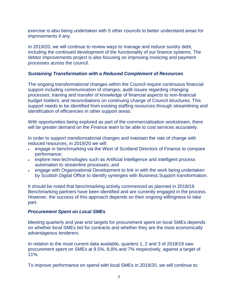exercise is also being undertaken with 5 other councils to better understand areas for improvements if any.

In 2019/20, we will continue to review ways to manage and reduce sundry debt, including the continued development of the functionality of our finance systems. The debtor improvements project is also focusing on improving invoicing and payment processes across the council.

## *Sustaining Transformation with a Reduced Complement of Resources*

The ongoing transformational changes within the Council require continuous financial support including communication of changes; audit issues regarding changing processes; training and transfer of knowledge of financial aspects to non-financial budget holders; and reconciliations on continuing change of Council structures. This support needs to be identified from existing staffing resources through streamlining and identification of efficiencies in other support areas.

With opportunities being explored as part of the commercialisation workstream, there will be greater demand on the Finance team to be able to cost services accurately.

In order to support transformational changes and maintain the rate of change with reduced resources, in 2019/20 we will:

- engage in benchmarking via the West of Scotland Directors of Finance to compare performance;
- explore new technologies such as Artificial Intelligence and intelligent process automation to streamline processes; and
- engage with Organisational Development to link in with the work being undertaken by Scottish Digital Office to identify synergies with Business Support transformation.

It should be noted that benchmarking activity commenced as planned in 2018/19. Benchmarking partners have been identified and are currently engaged in the process. However, the success of this approach depends on their ongoing willingness to take part.

## *Procurement Spent on Local SMEs*

Meeting quarterly and year end targets for procurement spent on local SMEs depends on whether local SMEs bid for contracts and whether they are the most economically advantageous tenderers.

In relation to the most current data available, quarters 1, 2 and 3 of 2018/19 saw procurement spent on SMEs at 9.5%, 8.8% and 7% respectively, against a target of 11%.

To improve performance on spend with local SMEs in 2019/20, we will continue to: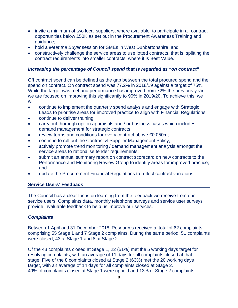- invite a minimum of two local suppliers, where available, to participate in all contract opportunities below £50K as set out in the Procurement Awareness Training and guidance;
- hold a *Meet the Buyer* session for SMEs in West Dunbartonshire; and
- constructively challenge the service areas to use lotted contracts, that is, splitting the contract requirements into smaller contracts, where it is Best Value.

## *Increasing the percentage of Council spend that is regarded as "on contract"*

Off contract spend can be defined as the gap between the total procured spend and the spend on contract. On contract spend was 77.2% in 2018/19 against a target of 75%. While the target was met and performance has improved from 72% the previous year, we are focused on improving this significantly to 90% in 2019/20. To achieve this, we will:

- continue to implement the quarterly spend analysis and engage with Strategic Leads to prioritise areas for improved practice to align with Financial Regulations;
- continue to deliver training;
- carry out thorough option appraisals and / or business cases which includes demand management for strategic contracts;
- review terms and conditions for every contract above £0.050m;
- continue to roll out the Contract & Supplier Management Policy;
- actively promote trend monitoring / demand management analysis amongst the service areas to rationalise tender requirements;
- submit an annual summary report on contract scorecard on new contracts to the Performance and Monitoring Review Group to identify areas for improved practice; and
- update the Procurement Financial Regulations to reflect contract variations.

## **Service Users' Feedback**

The Council has a clear focus on learning from the feedback we receive from our service users. Complaints data, monthly telephone surveys and service user surveys provide invaluable feedback to help us improve our services.

## *Complaints*

Between 1 April and 31 December 2018, Resources received a total of 62 complaints, comprising 55 Stage 1 and 7 Stage 2 complaints. During the same period, 51 complaints were closed, 43 at Stage 1 and 8 at Stage 2.

Of the 43 complaints closed at Stage 1, 22 (51%) met the 5 working days target for resolving complaints, with an average of 11 days for all complaints closed at that stage. Five of the 8 complaints closed at Stage 2 (63%) met the 20 working days target, with an average of 14 days for all complaints closed at Stage 2. 49% of complaints closed at Stage 1 were upheld and 13% of Stage 2 complaints.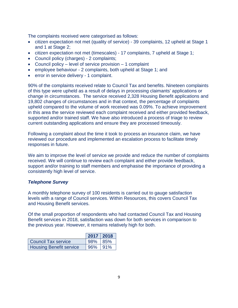The complaints received were categorised as follows:

- citizen expectation not met (quality of service) 39 complaints, 12 upheld at Stage 1 and 1 at Stage 2;
- citizen expectation not met (timescales) 17 complaints, 7 upheld at Stage 1;
- Council policy (charges) 2 complaints;
- Council policy level of service provision 1 complaint
- employee behaviour 2 complaints, both upheld at Stage 1; and
- error in service delivery 1 complaint.

90% of the complaints received relate to Council Tax and benefits. Nineteen complaints of this type were upheld as a result of delays in processing claimants' applications or change in circumstances. The service received 2,328 Housing Benefit applications and 19,802 changes of circumstances and in that context, the percentage of complaints upheld compared to the volume of work received was 0.09%. To achieve improvement in this area the service reviewed each complaint received and either provided feedback, supported and/or trained staff. We have also introduced a process of triage to review current outstanding applications and ensure they are processed timeously.

Following a complaint about the time it took to process an insurance claim, we have reviewed our procedure and implemented an escalation process to facilitate timely responses in future.

We aim to improve the level of service we provide and reduce the number of complaints received. We will continue to review each complaint and either provide feedback, support and/or training to staff members and emphasise the importance of providing a consistently high level of service.

## *Telephone Survey*

A monthly telephone survey of 100 residents is carried out to gauge satisfaction levels with a range of Council services. Within Resources, this covers Council Tax and Housing Benefit services.

Of the small proportion of respondents who had contacted Council Tax and Housing Benefit services in 2018, satisfaction was down for both services in comparison to the previous year. However, it remains relatively high for both.

|                                | $2017$ 2018  |  |
|--------------------------------|--------------|--|
| Council Tax service            | 98% 85%      |  |
| <b>Housing Benefit service</b> | $96\%$   91% |  |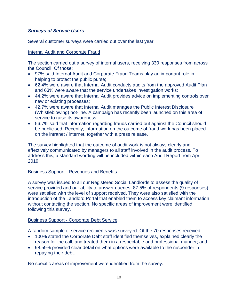## *Surveys of Service Users*

Several customer surveys were carried out over the last year.

### Internal Audit and Corporate Fraud

The section carried out a survey of internal users, receiving 330 responses from across the Council. Of those:

- 97% said Internal Audit and Corporate Fraud Teams play an important role in helping to protect the public purse;
- 62.4% were aware that Internal Audit conducts audits from the approved Audit Plan and 63% were aware that the service undertakes investigation works;
- 44.2% were aware that Internal Audit provides advice on implementing controls over new or existing processes;
- 42.7% were aware that Internal Audit manages the Public Interest Disclosure (Whistleblowing) hot-line. A campaign has recently been launched on this area of service to raise its awareness;
- 56.7% said that information regarding frauds carried out against the Council should be publicised. Recently, information on the outcome of fraud work has been placed on the intranet / internet, together with a press release.

The survey highlighted that the outcome of audit work is not always clearly and effectively communicated by managers to all staff involved in the audit process. To address this, a standard wording will be included within each Audit Report from April 2019.

## Business Support - Revenues and Benefits

A survey was issued to all our Registered Social Landlords to assess the quality of service provided and our ability to answer queries. 87.5% of respondents (9 responses) were satisfied with the level of support received. They were also satisfied with the introduction of the Landlord Portal that enabled them to access key claimant information without contacting the section. No specific areas of improvement were identified following this survey.

## Business Support **-** Corporate Debt Service

A random sample of service recipients was surveyed. Of the 70 responses received:

- 100% stated the Corporate Debt staff identified themselves, explained clearly the reason for the call, and treated them in a respectable and professional manner; and
- 98.59% provided clear detail on what options were available to the responder in repaying their debt.

No specific areas of improvement were identified from the survey.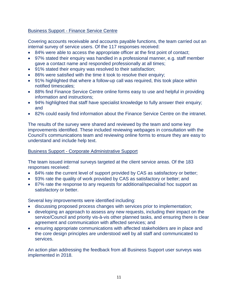## Business Support - Finance Service Centre

Covering accounts receivable and accounts payable functions, the team carried out an internal survey of service users. Of the 117 responses received:

- 84% were able to access the appropriate officer at the first point of contact;
- 97% stated their enquiry was handled in a professional manner, e.g. staff member gave a contact name and responded professionally at all times;
- 91% stated their enquiry was resolved to their satisfaction;
- 86% were satisfied with the time it took to resolve their enquiry;
- 91% highlighted that where a follow-up call was required, this took place within notified timescales;
- 88% find Finance Service Centre online forms easy to use and helpful in providing information and instructions;
- 94% highlighted that staff have specialist knowledge to fully answer their enquiry; and
- 82% could easily find information about the Finance Service Centre on the intranet.

The results of the survey were shared and reviewed by the team and some key improvements identified. These included reviewing webpages in consultation with the Council's communications team and reviewing online forms to ensure they are easy to understand and include help text.

## Business Support - Corporate Administrative Support

The team issued internal surveys targeted at the client service areas. Of the 183 responses received:

- 84% rate the current level of support provided by CAS as satisfactory or better;
- 93% rate the quality of work provided by CAS as satisfactory or better; and
- 87% rate the response to any requests for additional/special/ad hoc support as satisfactory or better.

Several key improvements were identified including:

- discussing proposed process changes with services prior to implementation;
- developing an approach to assess any new requests, including their impact on the service/Council and priority vis-à-vis other planned tasks, and ensuring there is clear agreement and communication with affected services; and
- ensuring appropriate communications with affected stakeholders are in place and the core design principles are understood well by all staff and communicated to services.

An action plan addressing the feedback from all Business Support user surveys was implemented in 2018.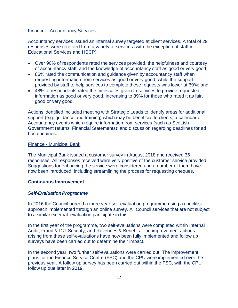#### Finance – Accountancy Services

Accountancy services issued an internal survey targeted at client services. A total of 29 responses were received from a variety of services (with the exception of staff in Educational Services and HSCP):

- Over 90% of respondents rated the services provided, the helpfulness and courtesy of accountancy staff, and the knowledge of accountancy staff as good or very good;
- 86% rated the communication and guidance given by accountancy staff when requesting information from services as good or very good, while the support provided by staff to help services to complete these requests was lower at 69%; and
- 48% of respondents rated the timescales given to services to provide requested information as good or very good, increasing to 89% for those who rated it as fair, good or very good.

Actions identified included meeting with Strategic Leads to identify areas for additional support (e.g. guidance and training) which may be beneficial to clients; a calendar of Accountancy events which require information from services (such as Scottish Government returns, Financial Statements); and discussion regarding deadlines for ad hoc enquiries.

#### Finance - Municipal Bank

The Municipal Bank issued a customer survey in August 2018 and received 36 responses. All responses received were very positive of the customer service provided. Suggestions for enhancing the service were considered and a number of them have now been introduced, including streamlining the process for requesting cheques.

#### **Continuous Improvement**

## **Self-Evaluation Programme**

In 2016 the Council agreed a three year self-evaluation programme using a checklist approach implemented through an online survey. All Council services that are not subject to a similar external evaluation participate in this.

In the first year of the programme, two self-evaluations were completed within Internal Audit, Fraud & ICT Security, and Revenues & Benefits. The improvement actions arising from these self-evaluations have now been fully implemented and follow up surveys have been carried out to determine their impact.

In the second year, two further self-evaluations were carried out. The improvement plans for the Finance Service Centre (FSC) and the CPU were implemented over the previous year. A follow up survey has been carried out within the FSC, with the CPU follow up due later in 2019.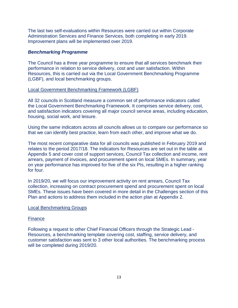The last two self-evaluations within Resources were carried out within Corporate Administration Services and Finance Services, both completing in early 2019. Improvement plans will be implemented over 2019.

#### *Benchmarking Programme*

The Council has a three year programme to ensure that all services benchmark their performance in relation to service delivery, cost and user satisfaction. Within Resources, this is carried out via the Local Government Benchmarking Programme (LGBF), and local benchmarking groups.

#### Local Government Benchmarking Framework (LGBF)

All 32 councils in Scotland measure a common set of performance indicators called the Local Government Benchmarking Framework. It comprises service delivery, cost, and satisfaction indicators covering all major council service areas, including education, housing, social work, and leisure.

Using the same indicators across all councils allows us to compare our performance so that we can identify best practice, learn from each other, and improve what we do.

The most recent comparative data for all councils was published in February 2019 and relates to the period 2017/18. The indicators for Resources are set out in the table at Appendix 5 and cover cost of support services, Council Tax collection and income, rent arrears, payment of invoices, and procurement spent on local SMEs. In summary, year on year performance has improved for five of the six PIs, resulting in a higher ranking for four.

In 2019/20, we will focus our improvement activity on rent arrears, Council Tax collection, increasing on contract procurement spend and procurement spent on local SMEs. These issues have been covered in more detail in the Challenges section of this Plan and actions to address them included in the action plan at Appendix 2.

## Local Benchmarking Groups

#### Finance

Following a request to other Chief Financial Officers through the Strategic Lead - Resources, a benchmarking template covering cost, staffing, service delivery, and customer satisfaction was sent to 3 other local authorities. The benchmarking process will be completed during 2019/20.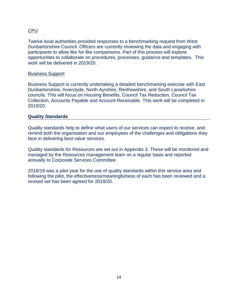## CPU

Twelve local authorities provided responses to a benchmarking request from West Dunbartonshire Council. Officers are currently reviewing the data and engaging with participants to allow like for like comparisons. Part of this process will explore opportunities to collaborate on procedures, processes, guidance and templates. This work will be delivered in 2019/20.

## Business Support

Business Support is currently undertaking a detailed benchmarking exercise with East Dunbartonshire, Inverclyde, North Ayrshire, Renfrewshire, and South Lanarkshire councils. This will focus on Housing Benefits, Council Tax Reduction, Council Tax Collection, Accounts Payable and Account Receivable. This work will be completed in 2019/20.

## **Quality Standards**

Quality standards help to define what users of our services can expect to receive, and remind both the organisation and our employees of the challenges and obligations they face in delivering best value services.

Quality standards for Resources are set out in Appendix 3. These will be monitored and managed by the Resources management team on a regular basis and reported annually to Corporate Services Committee.

2018/19 was a pilot year for the use of quality standards within this service area and following the pilot, the effectiveness/meaningfulness of each has been reviewed and a revised set has been agreed for 2019/20.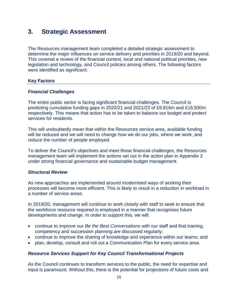## **3. Strategic Assessment**

The Resources management team completed a detailed strategic assessment to determine the major influences on service delivery and priorities in 2019/20 and beyond. This covered a review of the financial context, local and national political priorities, new legislation and technology, and Council policies among others. The following factors were identified as significant:

#### **Key Factors**

#### *Financial Challenges*

The entire public sector is facing significant financial challenges. The Council is predicting cumulative funding gaps in 2020/21 and 2021/22 of £9.816m and £16.930m respectively. This means that action has to be taken to balance our budget and protect services for residents.

This will undoubtedly mean that within the Resources service area, available funding will be reduced and we will need to change how we do our jobs, where we work, and reduce the number of people employed.

To deliver the Council's objectives and meet those financial challenges, the Resources management team will implement the actions set out in the action plan in Appendix 2 under strong financial governance and sustainable budget management.

## *Structural Review*

As new approaches are implemented around modernised ways of working then processes will become more efficient. This is likely to result in a reduction in workload in a number of service areas.

In 2019/20, management will continue to work closely with staff to seek to ensure that the workforce resource required is employed in a manner that recognises future developments and change. In order to support this, we will:

- continue to improve our *Be the Best Conversations* with our staff and that training, competency and succession planning are discussed regularly;
- continue to improve the sharing of knowledge and experience within our teams; and
- plan, develop, consult and roll out a Communication Plan for every service area.

#### *Resource Services Support for Key Council Transformational Projects*

As the Council continues to transform services to the public, the need for expertise and input is paramount. Without this, there is the potential for projections of future costs and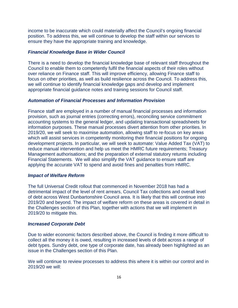income to be inaccurate which could materially affect the Council's ongoing financial position. To address this, we will continue to develop the staff within our services to ensure they have the appropriate training and knowledge.

#### *Financial Knowledge Base in Wider Council*

There is a need to develop the financial knowledge base of relevant staff throughout the Council to enable them to competently fulfil the financial aspects of their roles without over reliance on Finance staff. This will improve efficiency, allowing Finance staff to focus on other priorities, as well as build resilience across the Council. To address this, we will continue to identify financial knowledge gaps and develop and implement appropriate financial guidance notes and training sessions for Council staff.

## *Automation of Financial Processes and Information Provision*

Finance staff are employed in a number of manual financial processes and information provision, such as journal entries (correcting errors), reconciling service commitment accounting systems to the general ledger, and updating transactional spreadsheets for information purposes. These manual processes divert attention from other priorities. In 2019/20, we will seek to maximise automation, allowing staff to re-focus on key areas which will assist services in competently monitoring their financial positions for ongoing development projects. In particular, we will seek to automate: Value Added Tax (VAT) to reduce manual intervention and help us meet the HMRC future requirements; Treasury Management authorisations; and the preparation of external statutory returns including Financial Statements. We will also simplify the VAT guidance to ensure staff are applying the accurate VAT to spend and avoid fines and penalties from HMRC.

#### *Impact of Welfare Reform*

The full Universal Credit rollout that commenced in November 2018 has had a detrimental impact of the level of rent arrears, Council Tax collections and overall level of debt across West Dunbartonshire Council area. It is likely that this will continue into 2019/20 and beyond. The impact of welfare reform on these areas is covered in detail in the Challenges section of this Plan, together with actions that we will implement in 2019/20 to mitigate this.

#### *Increased Corporate Debt*

Due to wider economic factors described above, the Council is finding it more difficult to collect all the money it is owed, resulting in increased levels of debt across a range of debt types. Sundry debt, one type of corporate date, has already been highlighted as an issue in the Challenges section of this Plan.

We will continue to review processes to address this where it is within our control and in 2019/20 we will: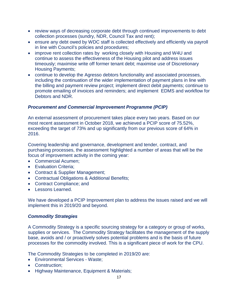- review ways of decreasing corporate debt through continued improvements to debt collection processes (sundry, NDR, Council Tax and rent);
- ensure any debt owed by WDC staff is collected effectively and efficiently via payroll in line with Council's policies and procedures;
- improve rent collection rates by working closely with Housing and W4U and continue to assess the effectiveness of the Housing pilot and address issues timeously; maximise write off former tenant debt; maximise use of Discretionary Housing Payments;
- continue to develop the Agresso debtors functionality and associated processes, including the continuation of the wider implementation of payment plans in line with the billing and payment review project; implement direct debit payments; continue to promote emailing of invoices and reminders; and implement EDMS and workflow for Debtors and NDR.

## *Procurement and Commercial Improvement Programme (PCIP)*

An external assessment of procurement takes place every two years. Based on our most recent assessment in October 2018, we achieved a PCIP score of 75.52%, exceeding the target of 73% and up significantly from our previous score of 64% in 2016.

Covering leadership and governance, development and tender, contract, and purchasing processes, the assessment highlighted a number of areas that will be the focus of improvement activity in the coming year:

- Commercial Acumen;
- Evaluation Criteria;
- Contract & Supplier Management;
- Contractual Obligations & Additional Benefits;
- Contract Compliance; and
- Lessons Learned.

We have developed a PCIP Improvement plan to address the issues raised and we will implement this in 2019/20 and beyond.

## *Commodity Strategies*

A Commodity Strategy is a specific sourcing strategy for a category or group of works, supplies or services. The Commodity Strategy facilitates the management of the supply base, avoids and / or proactively solves potential problems and is the basis of future processes for the commodity involved. This is a significant piece of work for the CPU.

The Commodity Strategies to be completed in 2019/20 are:

- Environmental Services Waste;
- Construction;
- Highway Maintenance, Equipment & Materials;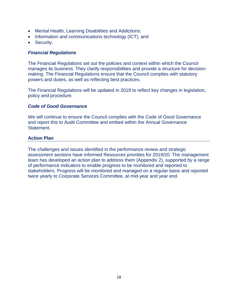- Mental Health, Learning Disabilities and Addictions;
- Information and communications technology (ICT); and
- Security.

## *Financial Regulations*

The Financial Regulations set out the policies and context within which the Council manages its business. They clarify responsibilities and provide a structure for decisionmaking. The Financial Regulations ensure that the Council complies with statutory powers and duties, as well as reflecting best practices.

The Financial Regulations will be updated in 2019 to reflect key changes in legislation, policy and procedure.

## *Code of Good Governance*

We will continue to ensure the Council complies with the Code of Good Governance and report this to Audit Committee and embed within the Annual Governance Statement.

## **Action Plan**

The challenges and issues identified in the performance review and strategic assessment sections have informed Resources priorities for 2019/20. The management team has developed an action plan to address them (Appendix 2), supported by a range of performance indicators to enable progress to be monitored and reported to stakeholders. Progress will be monitored and managed on a regular basis and reported twice yearly to Corporate Services Committee, at mid-year and year end.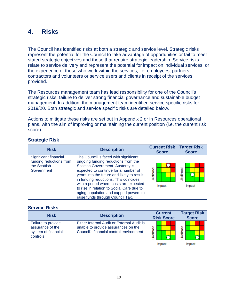## **4. Risks**

The Council has identified risks at both a strategic and service level. Strategic risks represent the potential for the Council to take advantage of opportunities or fail to meet stated strategic objectives and those that require strategic leadership. Service risks relate to service delivery and represent the potential for impact on individual services, or the experience of those who work within the services, i.e. employees, partners, contractors and volunteers or service users and clients in receipt of the services provided.

The Resources management team has lead responsibility for one of the Council's strategic risks: failure to deliver strong financial governance and sustainable budget management. In addition, the management team identified service specific risks for 2019/20. Both strategic and service specific risks are detailed below.

Actions to mitigate these risks are set out in Appendix 2 or in Resources operational plans, with the aim of improving or maintaining the current position (i.e. the current risk score).

| <b>Risk</b>                                                                    | <b>Description</b>                                                                                                                                                                                                                                                                                                                                                                                                   | <b>Current Risk</b><br><b>Score</b> | <b>Target Risk</b><br><b>Score</b> |
|--------------------------------------------------------------------------------|----------------------------------------------------------------------------------------------------------------------------------------------------------------------------------------------------------------------------------------------------------------------------------------------------------------------------------------------------------------------------------------------------------------------|-------------------------------------|------------------------------------|
| Significant financial<br>funding reductions from<br>the Scottish<br>Government | The Council is faced with significant<br>ongoing funding reductions from the<br>Scottish Government. Austerity is<br>expected to continue for a number of<br>years into the future and likely to result<br>in funding reductions. This coincides<br>with a period where costs are expected<br>to rise in relation to Social Care due to<br>aging population and capped powers to<br>raise funds through Council Tax. | .ikelihood<br>Impact                | ikelihood<br>Impact                |

## **Strategic Risk**

## **Service Risks**

| <b>Risk</b>                                                               | <b>Description</b>                                                                                                           | <b>Current</b><br><b>Risk Score</b> | <b>Target Risk</b><br><b>Score</b> |
|---------------------------------------------------------------------------|------------------------------------------------------------------------------------------------------------------------------|-------------------------------------|------------------------------------|
| Failure to provide<br>assurance of the<br>system of financial<br>controls | Either Internal Audit or External Audit is<br>unable to provide assurances on the<br>Council's financial control environment | <b>kellhood</b><br>Impact           | ikelihood<br>Impact                |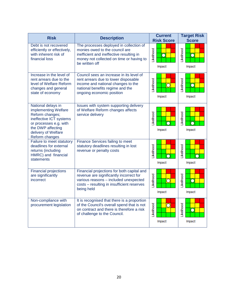| <b>Risk</b>                                                                                                                                                                      | <b>Description</b>                                                                                                                                                                         | <b>Current</b><br><b>Risk Score</b> | <b>Target Risk</b><br><b>Score</b> |
|----------------------------------------------------------------------------------------------------------------------------------------------------------------------------------|--------------------------------------------------------------------------------------------------------------------------------------------------------------------------------------------|-------------------------------------|------------------------------------|
| Debt is not recovered<br>efficiently or effectively,<br>with inherent risk of<br>financial loss                                                                                  | The processes deployed in collection of<br>monies owed to the council are<br>inefficient and ineffective resulting in<br>money not collected on time or having to<br>be written off        | .ikelihood<br>Г<br>Impact           | Likelihood<br>Г<br>Impact          |
| Increase in the level of<br>rent arrears due to the<br>level of Welfare Reform<br>changes and general<br>state of economy                                                        | Council sees an increase in its level of<br>rent arrears due to lower disposable<br>income and national changes to the<br>national benefits regime and the<br>ongoing economic position    | Likelihood<br>Impact                | Likelihood<br>П<br>Impact          |
| National delays in<br>implementing Welfare<br>Reform changes;<br>ineffective ICT systems<br>or processes e.g. with<br>the DWP affecting<br>delivery of Welfare<br>Reform changes | Issues with system supporting delivery<br>of Welfare Reform changes affects<br>service delivery                                                                                            | <b>ikelihood</b><br>Impact          | <b>ikelihood</b><br>Impact         |
| Failure to meet statutory<br>deadlines for external<br>returns (including<br>HMRC) and financial<br>statements                                                                   | Finance Services failing to meet<br>statutory deadlines resulting in lost<br>revenue or penalty costs                                                                                      | Likelihood<br>Impact                | Likelihood<br>Impact               |
| <b>Financial projections</b><br>are significantly<br>incorrect                                                                                                                   | Financial projections for both capital and<br>revenue are significantly incorrect for<br>various reasons - included unexpected<br>costs - resulting in insufficient reserves<br>being held | Likelihood<br>Impact                | Likelihood<br>О<br>Impact          |
| Non-compliance with<br>procurement legislation                                                                                                                                   | It is recognised that there is a proportion<br>of the Council's overall spend that is not<br>on contract and there is therefore a risk<br>of challenge to the Council.                     | Likelihood<br>С<br>Impact           | Likelihood<br>Impact               |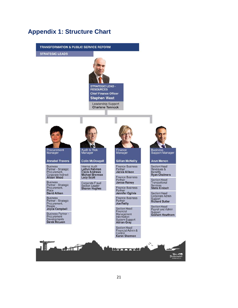## **Appendix 1: Structure Chart**

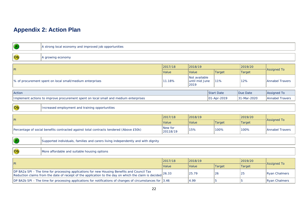# **Appendix 2: Action Plan**

| $\bullet$                                                                                                                                                                                            | A strong local economy and improved job opportunities                                                |                     |                                         |                   |                      |                        |
|------------------------------------------------------------------------------------------------------------------------------------------------------------------------------------------------------|------------------------------------------------------------------------------------------------------|---------------------|-----------------------------------------|-------------------|----------------------|------------------------|
| Ob                                                                                                                                                                                                   | A growing economy                                                                                    |                     |                                         |                   |                      |                        |
| PI                                                                                                                                                                                                   |                                                                                                      | 2017/18             | 2018/19                                 |                   | 2019/20              | <b>Assigned To</b>     |
|                                                                                                                                                                                                      |                                                                                                      | Value               | Value                                   | <b>Target</b>     | <b>Target</b>        |                        |
| % of procurement spent on local small/medium enterprises                                                                                                                                             |                                                                                                      |                     | Not available<br>until mid June<br>2019 | 11%               | 12%                  | <b>Annabel Travers</b> |
| Action                                                                                                                                                                                               |                                                                                                      |                     |                                         | <b>Start Date</b> | Due Date             | Assigned To            |
|                                                                                                                                                                                                      | Implement actions to improve procurement spent on local small and medium enterprises                 |                     |                                         | 01-Apr-2019       | 31-Mar-2020          | <b>Annabel Travers</b> |
| Ob                                                                                                                                                                                                   | Increased employment and training opportunities                                                      |                     |                                         |                   |                      |                        |
|                                                                                                                                                                                                      |                                                                                                      |                     |                                         |                   |                      |                        |
| PI                                                                                                                                                                                                   |                                                                                                      | 2017/18             | 2018/19                                 |                   | 2019/20              | <b>Assigned To</b>     |
|                                                                                                                                                                                                      |                                                                                                      | Value               | Value                                   | <b>Target</b>     | <b>Target</b>        |                        |
|                                                                                                                                                                                                      | Percentage of social benefits contracted against total contracts tendered (Above £50k)               | New for<br>20118/19 | 15%                                     | 100%              | 100%                 | <b>Annabel Travers</b> |
| $\bullet$                                                                                                                                                                                            | Supported individuals, families and carers living independently and with dignity                     |                     |                                         |                   |                      |                        |
| Ob                                                                                                                                                                                                   | More affordable and suitable housing options                                                         |                     |                                         |                   |                      |                        |
|                                                                                                                                                                                                      | 2017/18                                                                                              | 2018/19             |                                         | 2019/20           |                      |                        |
| PI                                                                                                                                                                                                   |                                                                                                      | Value               | Value                                   | <b>Target</b>     | <b>Target</b>        | <b>Assigned To</b>     |
| DP BA2a SPI - The time for processing applications for new Housing Benefits and Council Tax<br>Reduction claims from the date of receipt of the application to the day on which the claim is decided | 26.33                                                                                                | 25.79               | 26                                      | 25                | <b>Ryan Chalmers</b> |                        |
|                                                                                                                                                                                                      | DP BA2b SPI - The time for processing applications for notifications of changes of circumstances for | 3.46                | 4.99                                    | 5                 | l5                   | <b>Ryan Chalmers</b>   |
|                                                                                                                                                                                                      |                                                                                                      |                     |                                         |                   |                      |                        |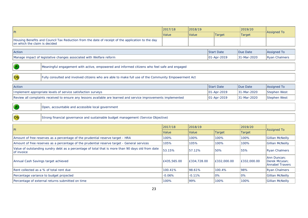|                                                                                                                 |                                                                                                                 | 2017/18     | 2018/19     |                                  | 2019/20       |                                                        |
|-----------------------------------------------------------------------------------------------------------------|-----------------------------------------------------------------------------------------------------------------|-------------|-------------|----------------------------------|---------------|--------------------------------------------------------|
| P                                                                                                               |                                                                                                                 | Value       | Value       | <b>Target</b>                    | <b>Target</b> | <b>Assigned To</b>                                     |
| on which the claim is decided                                                                                   | Housing Benefits and Council Tax Reduction from the date of receipt of the application to the day               |             |             |                                  |               |                                                        |
| Action                                                                                                          |                                                                                                                 |             |             |                                  | Due Date      | <b>Assigned To</b>                                     |
|                                                                                                                 | Manage impact of legislative changes associated with Welfare reform                                             |             |             | <b>Start Date</b><br>01-Apr-2019 | 31-Mar-2020   | <b>Ryan Chalmers</b>                                   |
|                                                                                                                 |                                                                                                                 |             |             |                                  |               |                                                        |
| $\left( \mathbf{P}\right)$                                                                                      | Meaningful engagement with active, empowered and informed citizens who feel safe and engaged                    |             |             |                                  |               |                                                        |
| o <sub>b</sub>                                                                                                  | Fully consulted and involved citizens who are able to make full use of the Community Empowerment Act            |             |             |                                  |               |                                                        |
| Action                                                                                                          |                                                                                                                 |             |             | <b>Start Date</b>                | Due Date      | <b>Assigned To</b>                                     |
|                                                                                                                 | Implement appropriate levels of service satisfaction surveys                                                    |             |             | 01-Apr-2019                      | 31-Mar-2020   | <b>Stephen West</b>                                    |
|                                                                                                                 | Review all complaints received to ensure any lessons available are learned and service improvements implemented |             |             | 01-Apr-2019                      | 31-Mar-2020   | <b>Stephen West</b>                                    |
| P                                                                                                               | Open, accountable and accessible local government                                                               |             |             |                                  |               |                                                        |
| o <sub>b</sub>                                                                                                  | Strong financial governance and sustainable budget management (Service Objective)                               |             |             |                                  |               |                                                        |
|                                                                                                                 |                                                                                                                 | 2017/18     | 2018/19     |                                  | 2019/20       |                                                        |
| P                                                                                                               |                                                                                                                 | Value       | Value       | <b>Target</b>                    | Target        | <b>Assigned To</b>                                     |
|                                                                                                                 | Amount of free reserves as a percentage of the prudential reserve target - HRA                                  | 100%        | 100%        | 100%                             | 100%          | <b>Gillian McNeilly</b>                                |
|                                                                                                                 | Amount of free reserves as a percentage of the prudential reserve target - General services                     | 105%        | 105%        | 100%                             | 100%          | <b>Gillian McNeilly</b>                                |
| Value of outstanding sundry debt as a percentage of total that is more than 90 days old from date<br>of invoice |                                                                                                                 | 53.15%      | 57.12%      | 50%                              | 55%           | <b>Ryan Chalmers</b>                                   |
| Annual Cash Savings target achieved                                                                             |                                                                                                                 | £435,565.00 | £334,728.00 | £332,000.00                      | £332,000.00   | Ann Duncan:<br>Derek McLean:<br><b>Annabel Travers</b> |
|                                                                                                                 | Rent collected as a % of total rent due                                                                         | 100.41%     | 98.61%      | 100.4%                           | 98%           | <b>Ryan Chalmers</b>                                   |
|                                                                                                                 | Percentage variance to budget projected                                                                         | $-0.06%$    | $-0.11%$    | 0%                               | 0%            | <b>Gillian McNeilly</b>                                |
|                                                                                                                 | Percentage of external returns submitted on time                                                                | 100%        | 99%         | 100%                             | 100%          | <b>Gillian McNeilly</b>                                |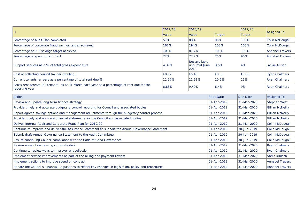|                                                                                                                 | 2017/18 | 2018/19                                 |                   | 2019/20       |                         |
|-----------------------------------------------------------------------------------------------------------------|---------|-----------------------------------------|-------------------|---------------|-------------------------|
| P                                                                                                               | Value   | Value                                   | <b>Target</b>     | <b>Target</b> | <b>Assigned To</b>      |
| Percentage of Audit Plan completed                                                                              | 57%     | 88%                                     | 95%               | 100%          | Colin McDougall         |
| Percentage of corporate fraud savings target achieved                                                           | 167%    | 294%                                    | 100%              | 100%          | Colin McDougall         |
| Percentage of P2P savings target achieved                                                                       | 100%    | 87.2%                                   | 100%              | 100%          | <b>Annabel Travers</b>  |
| Percentage of spend on contract                                                                                 | 72%     | 77.2%                                   | 75%               | 90%           | <b>Annabel Travers</b>  |
| Support services as a % of total gross expenditure                                                              | 4.37%   | Not available<br>until mid June<br>2019 | 3.5%              | 4%            | Jackie Allison          |
| Cost of collecting council tax per dwelling £                                                                   | £8.17   | £5.46                                   | £8.00             | £5.00         | <b>Ryan Chalmers</b>    |
| Current tenants' arrears as a percentage of total rent due %                                                    | 11.57%  | 11.61%                                  | 10.5%             | 11%           | <b>Ryan Chalmers</b>    |
| Gross rent arrears (all tenants) as at 31 March each year as a percentage of rent due for the<br>reporting year | 8.83%   | 9.49%                                   | 8.4%              | 9%            | <b>Ryan Chalmers</b>    |
| Action                                                                                                          |         |                                         | <b>Start Date</b> | Due Date      | <b>Assigned To</b>      |
| Review and update long term finance strategy                                                                    |         |                                         |                   | 31-Mar-2020   | Stephen West            |
| Provide timely and accurate budgetary control reporting for Council and associated bodies                       |         |                                         | 01-Apr-2019       | 31-Mar-2020   | <b>Gillian McNeilly</b> |
| Report agreed savings options and management adjustments through the budgetary control process                  |         |                                         | 01-Apr-2019       | 31-Mar-2020   | <b>Gillian McNeilly</b> |
| Provide timely and accurate financial statements for the Council and associated bodies                          |         |                                         | 01-Apr-2019       | 31-Mar-2020   | <b>Gillian McNeilly</b> |
| Deliver Internal Audit and Corporate Fraud Plan for 2019/20                                                     |         |                                         | 01-Apr-2019       | 31-Mar-2020   | Colin McDougall         |
| Continue to improve and deliver the Assurance Statement to support the Annual Governance Statement              |         |                                         | 01-Apr-2019       | 30-Jun-2019   | Colin McDougall         |
| Submit draft Annual Governance Statement to the Audit Committee                                                 |         |                                         | 01-Apr-2019       | 30-Jun-2019   | Colin McDougall         |
| Ensure continuing Council compliance with the Code of Good Governance                                           |         |                                         |                   | 30-Jun-2019   | Colin McDougall         |
| Review ways of decreasing corporate debt                                                                        |         |                                         |                   | 31-Mar-2020   | <b>Ryan Chalmers</b>    |
| Continue to review ways to improve rent collection                                                              |         |                                         |                   | 31-Mar-2020   | <b>Ryan Chalmers</b>    |
| Implement service improvements as part of the billing and payment review                                        |         |                                         |                   | 31-Mar-2020   | Stella Kinloch          |
| Implement actions to improve spend on contract                                                                  |         |                                         | 01-Apr-2019       | 31-Mar-2020   | <b>Annabel Travers</b>  |
| Update the Council's Financial Regulations to reflect key changes in legislation, policy and procedures         |         |                                         | 01-Apr-2019       | 31-Mar-2020   | <b>Annabel Travers</b>  |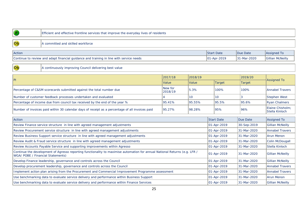| P                                                                                                                                                               | Efficient and effective frontline services that improve the everyday lives of residents         |         |                 |                   |               |                                    |
|-----------------------------------------------------------------------------------------------------------------------------------------------------------------|-------------------------------------------------------------------------------------------------|---------|-----------------|-------------------|---------------|------------------------------------|
|                                                                                                                                                                 |                                                                                                 |         |                 |                   |               |                                    |
| $\overline{\text{Ob}}$                                                                                                                                          | A committed and skilled workforce                                                               |         |                 |                   |               |                                    |
| Action                                                                                                                                                          |                                                                                                 |         |                 | <b>Start Date</b> | Due Date      | Assigned To                        |
|                                                                                                                                                                 |                                                                                                 |         |                 |                   |               |                                    |
|                                                                                                                                                                 | Continue to review and adapt financial guidance and training in line with service needs         |         |                 | 01-Apr-2019       | 31-Mar-2020   | <b>Gillian McNeilly</b>            |
| $\overline{\text{Ob}}$                                                                                                                                          | A continuously improving Council delivering best value                                          |         |                 |                   |               |                                    |
|                                                                                                                                                                 |                                                                                                 | 2017/18 | 2018/19         |                   | 2019/20       |                                    |
| P                                                                                                                                                               |                                                                                                 | Value   | Value           | <b>Target</b>     | <b>Target</b> | <b>Assigned To</b>                 |
| New for<br>5.3%<br>Percentage of C&SM scorecards submitted against the total number due<br>2018/19                                                              |                                                                                                 |         |                 | 100%              | 100%          | <b>Annabel Travers</b>             |
|                                                                                                                                                                 | Number of customer feedback processes undertaken and evaluated                                  |         | 10 <sup>1</sup> | 10 <sup>°</sup>   | 3             | <b>Stephen West</b>                |
|                                                                                                                                                                 | Percentage of income due from council tax received by the end of the year %                     | 95.41%  | 95.55%          | 95.5%             | 95.6%         | <b>Ryan Chalmers</b>               |
|                                                                                                                                                                 | Number of invoices paid within 30 calendar days of receipt as a percentage of all invoices paid | 95.27%  | 98.28%          | 95%               | 96%           | Elaine Chisholm;<br>Stella Kinloch |
| Action                                                                                                                                                          |                                                                                                 |         |                 | <b>Start Date</b> | Due Date      | <b>Assigned To</b>                 |
|                                                                                                                                                                 | Review Finance service structure in line with agreed management adjustments                     |         |                 | 01-Apr-2019       | 30-Sep-2019   | <b>Gillian McNeilly</b>            |
|                                                                                                                                                                 | Review Procurement service structure in line with agreed management adjustments                 |         |                 | 01-Apr-2019       | 31-Mar-2020   | <b>Annabel Travers</b>             |
|                                                                                                                                                                 | Review Business Support service structure in line with agreed management adjustments            |         |                 | 01-Apr-2019       | 31-Mar-2020   | <b>Arun Menon</b>                  |
|                                                                                                                                                                 |                                                                                                 |         |                 |                   |               |                                    |
| Review Audit & Fraud service structure in line with agreed management adjustments                                                                               |                                                                                                 |         |                 | 01-Apr-2019       | 31-Mar-2020   | Colin McDougall                    |
| Review Accounts Payable Service and supporting improvements within Agresso                                                                                      |                                                                                                 |         |                 | 01-Apr-2019       | 31-Mar-2020   | Stella Kinloch                     |
| Continue the development of Agresso reporting functionality to maximise automation for annual National Returns (e.g. LFR /<br>WGA/ POBE / Financial Statements) |                                                                                                 |         |                 | 01-Apr-2019       | 31-Mar-2020   | <b>Gillian McNeilly</b>            |
| Develop Finance leadership, governance and controls across the Council                                                                                          |                                                                                                 |         |                 | 01-Apr-2019       | 31-Mar-2020   | <b>Gillian McNeilly</b>            |
|                                                                                                                                                                 | Develop procurement leadership, governance and controls across the Council                      |         |                 |                   | 31-Mar-2020   | <b>Annabel Travers</b>             |
| Implement action plan arising from the Procurement and Commercial Improvement Programme assessment                                                              |                                                                                                 |         |                 | 01-Apr-2019       | 31-Mar-2020   | <b>Annabel Travers</b>             |

Use benchmarking data to evaluate service delivery and performance within Finance Services and the services and performance within Finance Services and the service of  $\frac{1}{31}$ -Mar-2020  $\frac{1}{31}$ -Mar-2020  $\frac{1}{31}$ -Mar-

Use benchmarking data to evaluate service delivery and performance within Business Support 01-Apr-2019 31-Mar-2020 Arun Menon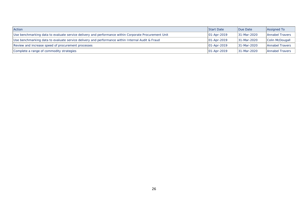| <b>Action</b>                                                                                        | <b>Start Date</b>   | Due Date     | Assigned To            |
|------------------------------------------------------------------------------------------------------|---------------------|--------------|------------------------|
| Use benchmarking data to evaluate service delivery and performance within Corporate Procurement Unit | $ 01 - Apr - 2019 $ | 131-Mar-2020 | <b>Annabel Travers</b> |
| Use benchmarking data to evaluate service delivery and performance within Internal Audit & Fraud     | $ 01 - Apr - 2019 $ | 131-Mar-2020 | Colin McDougall        |
| Review and increase speed of procurement processes                                                   | $ 01 - Apr - 2019 $ | 31-Mar-2020  | Annabel Travers        |
| Complete a range of commodity strategies                                                             | $ 01 - Apr - 2019 $ | 131-Mar-2020 | <b>Annabel Travers</b> |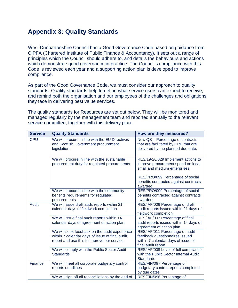## **Appendix 3: Quality Standards**

West Dunbartonshire Council has a Good Governance Code based on guidance from CIPFA (Chartered Institute of Public Finance & Accountancy). It sets out a range of principles which the Council should adhere to, and details the behaviours and actions which demonstrate good governance in practice. The Council's compliance with this Code is reviewed each year and a supporting action plan is developed to improve compliance.

As part of the Good Governance Code, we must consider our approach to quality standards. Quality standards help to define what service users can expect to receive, and remind both the organisation and our employees of the challenges and obligations they face in delivering best value services.

The quality standards for Resources are set out below. They will be monitored and managed regularly by the management team and reported annually to the relevant service committee, together with this delivery plan.

| <b>Service</b> | <b>Quality Standards</b>                                                                                                                      | How are they measured?                                                                                                        |
|----------------|-----------------------------------------------------------------------------------------------------------------------------------------------|-------------------------------------------------------------------------------------------------------------------------------|
| <b>CPU</b>     | We will procure in line with the EU Directives<br>and Scottish Government procurement<br>legislation                                          | New QS - Percentage of contracts<br>that are facilitated by CPU that are<br>delivered by the planned due date.                |
|                | We will procure in line with the sustainable<br>procurement duty for regulated procurements                                                   | RES/19-20/029 Implement actions to<br>improve procurement spend on local<br>small and medium enterprises;                     |
|                |                                                                                                                                               | RES/PRO/099 Percentage of social<br>benefits contracted against contracts<br>awarded                                          |
|                | We will procure in line with the community<br>benefits requirements for regulated<br>procurements                                             | RES/PRO/099 Percentage of social<br>benefits contracted against contracts<br>awarded                                          |
| <b>Audit</b>   | We will issue draft audit reports within 21<br>calendar days of fieldwork completion                                                          | RES/IAF/006 Percentage of draft<br>audit reports issued within 21 days of<br>fieldwork completion                             |
|                | We will issue final audit reports within 14<br>calendar days of agreement of action plan                                                      | RES/IAF/007 Percentage of final<br>audit reports issued within 14 days of<br>agreement of action plan                         |
|                | We will seek feedback on the audit experience<br>within 7 calendar days of issue of final audit<br>report and use this to improve our service | RES/IAF/011 Percentage of audit<br>feedback questionnaires issued<br>within 7 calendar days of issue of<br>final audit report |
|                | We will comply with the Public Sector Audit<br><b>Standards</b>                                                                               | RES/IAF/008 Level of full compliance<br>with the Public Sector Internal Audit<br><b>Standards</b>                             |
| Finance        | We will meet all corporate budgetary control<br>reports deadlines                                                                             | RES/FIN/097 Percentage of<br>budgetary control reports completed<br>by due dates                                              |
|                | We will sign off all reconciliations by the end of                                                                                            | RES/FIN/096 Percentage of                                                                                                     |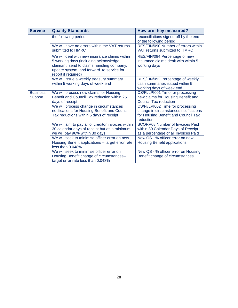| <b>Service</b>                    | <b>Quality Standards</b>                                                                                                                                                                                 | How are they measured?                                                                                                        |
|-----------------------------------|----------------------------------------------------------------------------------------------------------------------------------------------------------------------------------------------------------|-------------------------------------------------------------------------------------------------------------------------------|
|                                   | the following period                                                                                                                                                                                     | reconciliations signed off by the end<br>of the following period                                                              |
|                                   | We will have no errors within the VAT returns<br>submitted to HMRC                                                                                                                                       | RES/FIN/090 Number of errors within<br>VAT returns submitted to HMRC                                                          |
|                                   | We will deal with new insurance claims within<br>5 working days (including acknowledge<br>claimant, send to claims handling company,<br>update system, and forward to service for<br>report if required) | RES/FIN/094 Percentage of new<br>insurance claims dealt with within 5<br>working days                                         |
|                                   | We will issue a weekly treasury summary<br>within 5 working days of week end                                                                                                                             | RES/FIN/092 Percentage of weekly<br>cash summaries issued within 5<br>working days of week end                                |
| <b>Business</b><br><b>Support</b> | We will process new claims for Housing<br>Benefit and Council Tax reduction within 25<br>days of receipt                                                                                                 | CS/FI/LPI001 Time for processing<br>new claims for Housing Benefit and<br><b>Council Tax reduction</b>                        |
|                                   | We will process change in circumstances<br>notifications for Housing Benefit and Council<br>Tax reductions within 5 days of receipt                                                                      | CS/FI/LPI002 Time for processing<br>change in circumstances notifications<br>for Housing Benefit and Council Tax<br>reduction |
|                                   | We will aim to pay all of creditor invoices within<br>30 calendar days of receipt but as a minimum<br>we will pay 96% within 30 days                                                                     | <b>SCORP08 Number of Invoices Paid</b><br>within 30 Calendar Days of Receipt<br>as a percentage of all Invoices Paid          |
|                                   | We will seek to minimise officer error on new<br>Housing Benefit applications - target error rate<br>less than 0.048%                                                                                    | New QS - % officer error on new<br><b>Housing Benefit applications</b>                                                        |
|                                   | We will seek to minimise officer error on<br>Housing Benefit change of circumstances-<br>target error rate less than 0.048%                                                                              | New QS - % officer error on Housing<br>Benefit change of circumstances                                                        |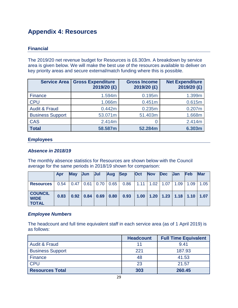## **Appendix 4: Resources**

## **Financial**

The 2019/20 net revenue budget for Resources is £6.303m. A breakdown by service area is given below. We will make the best use of the resources available to deliver on key priority areas and secure external/match funding where this is possible.

| <b>Service Area</b>      | <b>Gross Expenditure</b><br>2019/20 (£) | <b>Gross Income</b><br>2019/20 (£) | <b>Net Expenditure</b><br>2019/20 (£) |
|--------------------------|-----------------------------------------|------------------------------------|---------------------------------------|
| Finance                  | 1.594m                                  | 0.195m                             | 1.399m                                |
| <b>CPU</b>               | 1.066m                                  | 0.451m                             | 0.615m                                |
| <b>Audit &amp; Fraud</b> | 0.442m                                  | 0.235m                             | 0.207m                                |
| <b>Business Support</b>  | 53.071m                                 | 51.403m                            | 1.668m                                |
| <b>CAS</b>               | 2.414m                                  |                                    | 2.414m                                |
| <b>Total</b>             | 58.587m                                 | 52.284m                            | 6.303m                                |

## **Employees**

## *Absence in 2018/19*

The monthly absence statistics for Resources are shown below with the Council average for the same periods in 2018/19 shown for comparison:

|                                               | Apr  | <b>May</b>                                          | <b>Jun</b>                  | Jul | Aug | <b>Sep</b>           | Oct | <b>Nov</b> | <b>Dec</b> | <b>Jan</b> | <b>Feb</b>                                | <b>Mar</b> |
|-----------------------------------------------|------|-----------------------------------------------------|-----------------------------|-----|-----|----------------------|-----|------------|------------|------------|-------------------------------------------|------------|
| <b>Resources</b>                              | 0.54 | $\vert 0.47 \vert 0.61 \vert 0.70 \vert 0.65 \vert$ |                             |     |     | $0.86$   1.11   1.02 |     |            | 1.07       | 1.09       | 1.09                                      | 1.05       |
| <b>COUNCIL</b><br><b>WIDE</b><br><b>TOTAL</b> | 0.83 |                                                     | $0.92$   0.84   0.69   0.80 |     |     | 0.93                 |     |            |            |            | $1.00$   1.20   1.23   1.18   1.10   1.07 |            |

## *Employee Numbers*

The headcount and full time equivalent staff in each service area (as of 1 April 2019) is as follows:

|                          | <b>Headcount</b> | <b>Full Time Equivalent</b> |
|--------------------------|------------------|-----------------------------|
| <b>Audit &amp; Fraud</b> |                  | 9.41                        |
| <b>Business Support</b>  | 221              | 187.93                      |
| Finance                  | 48               | 41.53                       |
| <b>CPU</b>               | 23               | 21.57                       |
| <b>Resources Total</b>   | 303              | 260.45                      |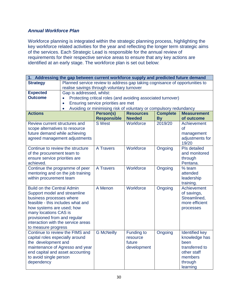## *Annual Workforce Plan*

Workforce planning is integrated within the strategic planning process, highlighting the key workforce related activities for the year and reflecting the longer term strategic aims of the services. Each Strategic Lead is responsible for the annual review of requirements for their respective service areas to ensure that any key actions are identified at an early stage. The workforce plan is set out below:

| 1. Addressing the gap between current workforce supply and predicted future demand |                                                                                |                    |                               |                 |                                        |  |  |  |  |
|------------------------------------------------------------------------------------|--------------------------------------------------------------------------------|--------------------|-------------------------------|-----------------|----------------------------------------|--|--|--|--|
| <b>Strategy</b>                                                                    | Planned service review to address gap taking cognisance of opportunities to    |                    |                               |                 |                                        |  |  |  |  |
|                                                                                    | realise savings through voluntary turnover                                     |                    |                               |                 |                                        |  |  |  |  |
| <b>Expected</b>                                                                    | Gap is addressed, whilst:                                                      |                    |                               |                 |                                        |  |  |  |  |
| <b>Outcome</b>                                                                     | Protecting critical roles (and avoiding associated turnover)                   |                    |                               |                 |                                        |  |  |  |  |
|                                                                                    | Ensuring service priorities are met<br>$\bullet$                               |                    |                               |                 |                                        |  |  |  |  |
|                                                                                    | Avoiding or minimising risk of voluntary or compulsory redundancy<br>$\bullet$ |                    |                               |                 |                                        |  |  |  |  |
| <b>Actions</b>                                                                     |                                                                                | Person(s)          | <b>Resources</b>              | <b>Complete</b> | <b>Measurement</b>                     |  |  |  |  |
|                                                                                    |                                                                                | <b>Responsible</b> | <b>Needed</b>                 | <b>By</b>       | of outcome                             |  |  |  |  |
| Review current structures and                                                      |                                                                                | <b>S</b> West      | Workforce                     | 2019/20         | Achievement                            |  |  |  |  |
| scope alternatives to resource                                                     |                                                                                |                    |                               |                 | <b>of</b>                              |  |  |  |  |
| future demand while achieving                                                      |                                                                                |                    |                               |                 | management                             |  |  |  |  |
| agreed management adjustments                                                      |                                                                                |                    |                               |                 | adjustments for<br>19/20               |  |  |  |  |
| Continue to review the structure                                                   |                                                                                | A Travers          | Workforce                     | Ongoing         | <b>PIs detailed</b>                    |  |  |  |  |
| of the procurement team to                                                         |                                                                                |                    |                               |                 | and monitored                          |  |  |  |  |
| ensure service priorities are                                                      |                                                                                |                    |                               |                 | through                                |  |  |  |  |
| achieved.                                                                          |                                                                                |                    |                               |                 | Pentana.                               |  |  |  |  |
| Continue the programme of peer                                                     |                                                                                | <b>A Travers</b>   | Workforce                     | Ongoing         | % team                                 |  |  |  |  |
| mentoring and on the job training                                                  |                                                                                |                    |                               |                 | attended                               |  |  |  |  |
| within procurement team                                                            |                                                                                |                    |                               |                 | leadership                             |  |  |  |  |
|                                                                                    |                                                                                |                    |                               |                 | training.                              |  |  |  |  |
| <b>Build on the Central Admin</b>                                                  |                                                                                | A Menon            | Workforce                     | Ongoing         | Achievement                            |  |  |  |  |
| Support model and streamline                                                       |                                                                                |                    |                               |                 | of savings,                            |  |  |  |  |
| business processes where                                                           |                                                                                |                    |                               |                 | Streamlined,                           |  |  |  |  |
| feasible - this includes what and                                                  |                                                                                |                    |                               |                 | more efficient                         |  |  |  |  |
| how systems are used; how                                                          |                                                                                |                    |                               |                 | processes                              |  |  |  |  |
| many locations CAS is                                                              |                                                                                |                    |                               |                 |                                        |  |  |  |  |
| provisioned from and regular                                                       |                                                                                |                    |                               |                 |                                        |  |  |  |  |
| interaction with the service areas                                                 |                                                                                |                    |                               |                 |                                        |  |  |  |  |
| to measure progress<br>Continue to review the FIMS and                             |                                                                                |                    |                               |                 |                                        |  |  |  |  |
| capital roles especially around                                                    |                                                                                | <b>G McNeilly</b>  | <b>Funding to</b><br>resource | Ongoing         | <b>Identified key</b><br>knowledge has |  |  |  |  |
| the development and                                                                |                                                                                |                    | future                        |                 | been                                   |  |  |  |  |
|                                                                                    | maintenance of Agresso and year                                                |                    | development                   |                 | transferred to                         |  |  |  |  |
| end capital and asset accounting                                                   |                                                                                |                    |                               |                 | other staff                            |  |  |  |  |
| to avoid single person                                                             |                                                                                |                    |                               |                 | members                                |  |  |  |  |
| dependency                                                                         |                                                                                |                    |                               |                 | through                                |  |  |  |  |
|                                                                                    |                                                                                |                    |                               |                 | learning                               |  |  |  |  |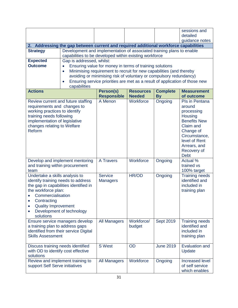|                                                                                                                                                                            |                                                                                                                                 |                                                                             |                      |                  | sessions and                                                                                                                                                                       |  |  |  |
|----------------------------------------------------------------------------------------------------------------------------------------------------------------------------|---------------------------------------------------------------------------------------------------------------------------------|-----------------------------------------------------------------------------|----------------------|------------------|------------------------------------------------------------------------------------------------------------------------------------------------------------------------------------|--|--|--|
|                                                                                                                                                                            |                                                                                                                                 |                                                                             |                      |                  | detailed                                                                                                                                                                           |  |  |  |
|                                                                                                                                                                            |                                                                                                                                 |                                                                             |                      |                  | guidance notes                                                                                                                                                                     |  |  |  |
|                                                                                                                                                                            | 2. Addressing the gap between current and required additional workforce capabilities                                            |                                                                             |                      |                  |                                                                                                                                                                                    |  |  |  |
| <b>Strategy</b>                                                                                                                                                            | Development and implementation of associated training plans to enable<br>capabilities to be developed within existing workforce |                                                                             |                      |                  |                                                                                                                                                                                    |  |  |  |
| <b>Expected</b>                                                                                                                                                            | Gap is addressed, whilst:                                                                                                       |                                                                             |                      |                  |                                                                                                                                                                                    |  |  |  |
| <b>Outcome</b>                                                                                                                                                             | Ensuring value for money in terms of training solutions                                                                         |                                                                             |                      |                  |                                                                                                                                                                                    |  |  |  |
|                                                                                                                                                                            | Minimising requirement to recruit for new capabilities (and thereby<br>$\bullet$                                                |                                                                             |                      |                  |                                                                                                                                                                                    |  |  |  |
|                                                                                                                                                                            | avoiding or minimising risk of voluntary or compulsory redundancy)                                                              |                                                                             |                      |                  |                                                                                                                                                                                    |  |  |  |
|                                                                                                                                                                            |                                                                                                                                 | Ensuring service priorities are met as a result of application of those new |                      |                  |                                                                                                                                                                                    |  |  |  |
|                                                                                                                                                                            | capabilities                                                                                                                    |                                                                             |                      |                  |                                                                                                                                                                                    |  |  |  |
| <b>Actions</b>                                                                                                                                                             |                                                                                                                                 | Person(s)                                                                   | <b>Resources</b>     | <b>Complete</b>  | <b>Measurement</b>                                                                                                                                                                 |  |  |  |
|                                                                                                                                                                            |                                                                                                                                 | <b>Responsible</b>                                                          | <b>Needed</b>        | <b>By</b>        | of outcome                                                                                                                                                                         |  |  |  |
| requirements and changes to<br>working practices to identify<br>training needs following<br>implementation of legislative<br>changes relating to Welfare<br>Reform         | Review current and future staffing                                                                                              | A Menon                                                                     | Workforce            | Ongoing          | Pls in Pentana<br>around<br>processing<br>Housing<br><b>Benefits New</b><br>Claim and<br>Change of<br>Circumstance,<br>level of Rent<br>Arrears, and<br>Recovery of<br><b>Debt</b> |  |  |  |
| and training within procurement<br>team                                                                                                                                    | Develop and implement mentoring                                                                                                 | <b>A Travers</b>                                                            | Workforce            | Ongoing          | Actual <sup>%</sup><br>trained vs<br>100% target                                                                                                                                   |  |  |  |
| Undertake a skills analysis to<br>identify training needs to address<br>the workforce plan:<br>Commercialisation<br>Contracting<br><b>Quality Improvement</b><br>solutions | the gap in capabilities identified in<br>Development of technology                                                              | <b>Service</b><br><b>Managers</b>                                           | HR/OD                | Ongoing          | <b>Training needs</b><br>identified and<br>included in<br>training plan                                                                                                            |  |  |  |
| a training plan to address gaps<br><b>Skills Assessment</b>                                                                                                                | Ensure service managers develop<br>identified from their service Digital                                                        | <b>All Managers</b>                                                         | Workforce/<br>budget | <b>Sept 2019</b> | <b>Training needs</b><br>identified and<br>included in<br>training plan                                                                                                            |  |  |  |
| Discuss training needs identified<br>with OD to identify cost effective<br>solutions                                                                                       |                                                                                                                                 | <b>S</b> West                                                               | OD                   | <b>June 2019</b> | <b>Evaluation and</b><br>Update                                                                                                                                                    |  |  |  |
| support Self Serve initiatives                                                                                                                                             | Review and implement training to                                                                                                | <b>All Managers</b>                                                         | Workforce            | Ongoing          | Increased level<br>of self service<br>which enables                                                                                                                                |  |  |  |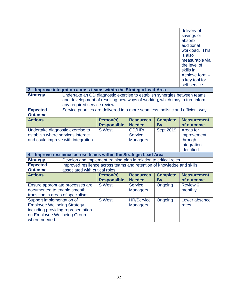|                                              |                                                                                 |                                 |                                   |                              | delivery of                      |
|----------------------------------------------|---------------------------------------------------------------------------------|---------------------------------|-----------------------------------|------------------------------|----------------------------------|
|                                              |                                                                                 |                                 |                                   |                              | savings or                       |
|                                              |                                                                                 |                                 |                                   |                              | absorb                           |
|                                              |                                                                                 |                                 |                                   |                              | additional                       |
|                                              |                                                                                 |                                 |                                   |                              | workload. This                   |
|                                              |                                                                                 |                                 |                                   |                              | is also                          |
|                                              |                                                                                 |                                 |                                   |                              | measurable via                   |
|                                              |                                                                                 |                                 |                                   |                              | the level of                     |
|                                              |                                                                                 |                                 |                                   |                              | skills in                        |
|                                              |                                                                                 |                                 |                                   |                              | Achieve form -                   |
|                                              |                                                                                 |                                 |                                   |                              | a key tool for                   |
|                                              |                                                                                 |                                 |                                   |                              | self service.                    |
|                                              | 3. Improve integration across teams within the Strategic Lead Area              |                                 |                                   |                              |                                  |
| <b>Strategy</b>                              | Undertake an OD diagnostic exercise to establish synergies between teams        |                                 |                                   |                              |                                  |
|                                              | and development of resulting new ways of working, which may in turn inform      |                                 |                                   |                              |                                  |
|                                              | any required service review                                                     |                                 |                                   |                              |                                  |
| <b>Expected</b>                              | Service priorities are delivered in a more seamless, holistic and efficient way |                                 |                                   |                              |                                  |
| <b>Outcome</b>                               |                                                                                 |                                 |                                   |                              |                                  |
| <b>Actions</b>                               |                                                                                 | Person(s)<br><b>Responsible</b> | <b>Resources</b><br><b>Needed</b> | <b>Complete</b><br><b>By</b> | <b>Measurement</b><br>of outcome |
|                                              |                                                                                 |                                 |                                   |                              |                                  |
| Undertake diagnostic exercise to             |                                                                                 | <b>S</b> West                   | OD/HR/                            | <b>Sept 2019</b>             | Areas for                        |
| establish where services interact            |                                                                                 |                                 | <b>Service</b>                    |                              | improvement                      |
|                                              | and could improve with integration                                              |                                 | <b>Managers</b>                   |                              | through                          |
|                                              |                                                                                 |                                 |                                   |                              | integration                      |
|                                              |                                                                                 |                                 |                                   |                              | identified.                      |
| 4.                                           | Improve resilience across teams within the Strategic Lead Area                  |                                 |                                   |                              |                                  |
| <b>Strategy</b>                              | Develop and implement training plan in relation to critical roles               |                                 |                                   |                              |                                  |
| <b>Expected</b>                              | Improved resilience across teams and retention of knowledge and skills          |                                 |                                   |                              |                                  |
| <b>Outcome</b>                               | associated with critical roles                                                  |                                 |                                   |                              |                                  |
| <b>Actions</b>                               |                                                                                 | Person(s)                       | <b>Resources</b>                  | <b>Complete</b>              | <b>Measurement</b>               |
|                                              |                                                                                 | <b>Responsible</b>              | <b>Needed</b>                     | <b>By</b>                    | of outcome                       |
|                                              | Ensure appropriate processes are                                                | <b>S</b> West                   | <b>Service</b>                    | Ongoing                      | Review 6                         |
| documented to enable smooth                  |                                                                                 |                                 | <b>Managers</b>                   |                              | monthly                          |
| transition in areas of specialism            |                                                                                 |                                 |                                   |                              |                                  |
| Support implementation of                    |                                                                                 | <b>S</b> West                   | <b>HR/Service</b>                 | Ongoing                      | Lower absence                    |
| <b>Employee Wellbeing Strategy</b>           |                                                                                 |                                 | <b>Managers</b>                   |                              | rates.                           |
|                                              | including providing representation                                              |                                 |                                   |                              |                                  |
| on Employee Wellbeing Group<br>where needed. |                                                                                 |                                 |                                   |                              |                                  |